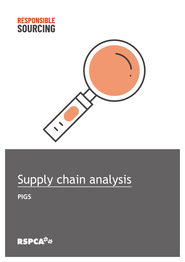



# Supply chain analysis

**PIGS**